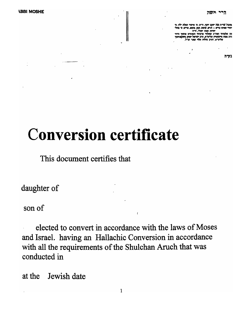מתבה שרית נצח יעקב יוסף, ודית: מי אימור הפלת ילד: מי יהודי שאינו בריא – חרש. שוטה, קסן, מומא, מרים: ס' מה יהדוח ומונו יהודי, הייח

מה שלטדתי ואח"כ שאלתי מרבותי הנאונים פו הרב משה מיינשטיין שליטיא, הרב ישראל יצחק נ

בעיה

# **Conversion certificate**

This document certifies that

daughter of

son of

elected to convert in accordance with the laws of Moses and Israel. having an Hallachic Conversion in accordance with all the requirements of the Shulchan Aruch that was conducted in

at the Jewish date

 $\mathbf{1}$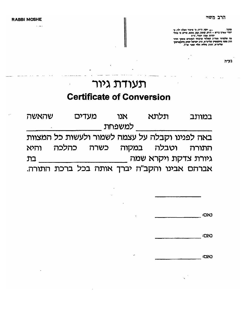**RABBI MOSHE** 

 $\ddot{\phantom{0}}$ 

מונבר.<br>יהודי שאינו בריא – חרש, שוטה, קטן, סומא, סריט, סי מהלי<br>יהודי שאינו בריא – חרש, שוטה, קטן, סומא, סריט, סי מהלי

יהודי, יהודה יהודי, והי והודי, והודים פוסקי הדור<br>הרב משה מיינשטיין שליט"א, הרב ישראל יצחק מיעקאויסקי<br>הרב משה מיינשטיין שליט"א, הרב ישראל יצחק מיעקאויסקי

 $\cdot$  $\overline{a}$ 

## תעודת גיור **Certificate of Conversion**

| שהאשה | מעדים | אנו    | תלתא                                            | במותב |
|-------|-------|--------|-------------------------------------------------|-------|
|       |       | למשפחת |                                                 |       |
|       |       |        | באה לפנינו וקבלה על עצמה לשמור ולעשות כל המצוות |       |
| והיא  |       |        | התורה וטבלה במקוה כשרה כהלכה                    |       |
| בת    |       |        | גיורת צדקת ויקרא שמה                            |       |
|       |       |        | אברהם אבינו והקב"ח יברך אותה בכל ברכת התורה.    |       |

÷

|  | נאס: |
|--|------|
|  |      |

CXO

**CAC:**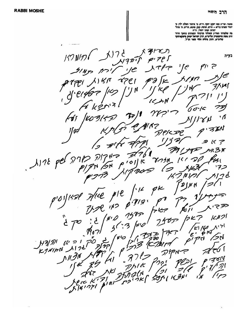.<br>סובר: שו"ת נצח יעקב יוסף, ה"ח; סי איסור הפלת ילד; סי<br>יהודי שאינו בריא – תרש, שומה, קטן, סומא, מריס; סי מהלי יהדות ושנו יהדי, היה מה שלמדתי ואחיכ שאלתי מרבותי הנאונים פוסקי הדור S בעיה  $157$  N/1  $721$  $P$  $'$ fe ح الم ح lL  $\gamma_{7}$ e 3.K N  $\frac{1}{2}$ جرح  $\mathcal{O}^*$  $\cdot \Lambda$ kУ  $\mu$ FIN  $D$ pj $5$ にっ ЗX  $1176$  pel 7717 -J.  $778$ でつうべ 7.) 00  $\mathcal{F}$  $2$  | N N  $p$ K  $\mathcal{L}$ マラ マヒ  $|CD|$ らにア S اح بى  $K$   $N$ ЮĨ ∕≥৸ **U**G  $770$  $\mu$   $\tau$ H'A/21  $K$ *JNIPN* M.  $\mathcal{\overline{A}}$ જ⊻  $\boldsymbol{z}$  $1591$ J[N<br>、つK  $225$ I N  $\frac{1}{2}$   $\frac{1}{2}$  $\overline{2}$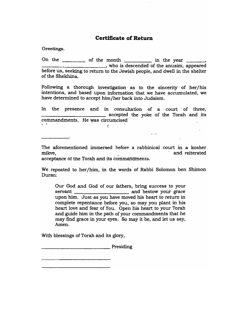#### **Certificate of Return**

Greetings.

On the  $\frac{1}{\sqrt{1-\frac{1}{\sqrt{1-\frac{1}{\sqrt{1-\frac{1}{\sqrt{1-\frac{1}{\sqrt{1-\frac{1}{\sqrt{1-\frac{1}{\sqrt{1-\frac{1}{\sqrt{1-\frac{1}{\sqrt{1-\frac{1}{\sqrt{1-\frac{1}{\sqrt{1-\frac{1}{\sqrt{1-\frac{1}{\sqrt{1-\frac{1}{\sqrt{1-\frac{1}{\sqrt{1-\frac{1}{\sqrt{1-\frac{1}{\sqrt{1-\frac{1}{\sqrt{1-\frac{1}{\sqrt{1-\frac{1}{\sqrt{1-\frac{1}{\sqrt{1-\frac{1}{\sqrt{1-\frac{1}{\sqrt{1-\frac{1}{\$ before us, seeking to return to the Jewish people, and dwell in the shelter of the Shekhina.

Following a thorough investigation as to the sincerity of her/his intentions, and based upon information that we have accumulated, we have determined to accept him/her back into Judaism.

In the presence and in consultation of a court of three, **Example 2** accepted the yoke of the Torah and its commandments. He was circumcised  $\mathbf{r}$ *c:* 

The aforementioned immersed before a rabbinical court in a kosher me anormentuoned miniersed before a rabouncar court in a rosner<br>hilame mikve,<br>acceptance of the Torah and its commandments.

 $---$ 

We repeated to her/him, in the words of Rabbi Solomon ben Shimon Duran.:

Our God and God of our fathers, bring success to your servant and bestow your grace upon him. Just as you have moved his heart to return in complete repentance before you, so may you plant in his heart love and fear of You. Open his heart to your Torah and guide him in the path of your commandments that he may fmd grace in your eyes. So may it be, and let us say, Amen.

With blessings of Torah and its glory,

**Example 2** Presiding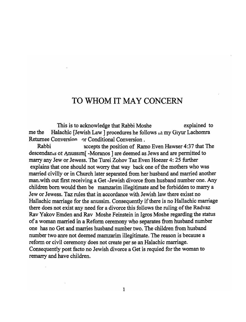### TO WHOM **IT** MAY CONCERN

This is to acknowledge that Rabbi Moshe . explained to me the Halachic [Jewish Law] procedures he follows  $\mu$  my Giyur Lachomra Returnee Conversion or Conditional Conversion.

Rabbi **Example 3** accepts the position of Ramo Even Hawser 4:37 that The descendan .s or Anussim[ -Moranos ] are deemed as Jews and are permitted to marry any Jew or Jewess. The Turei Zohov Taz Even Hoezer 4: 25 further explains that one should not worry that way back one of the mothers who was married civilly or in Church later separated from her husband and married another man.with out first receiving a Get -Jewish divorce from husband number one. Any children born would then be mamzarim illegitimate and be forbidden to marry a Jew or Jewess. Taz rules that in accordance with Jewish law there exisst no Hallachic marriage for the anussim. Consequently if there is no Hallachic marriage there does not exist any need for a divorce this follows the ruling of the Radvaz Rav Yakov Emden and Rav Moshe Feinstein in Igros Moshe regarding the status of a woman married in a Reform ceremony who separates from husband number one has no Get and marries husband number two. The children from husband number two anre not deemed mamzarim illegitimate. The reason is because a reform or civil ceremony does not create per se an Halachic marriage. Consequently post facto no Jewish divorce a Get is requied for the woman to remarry and have children.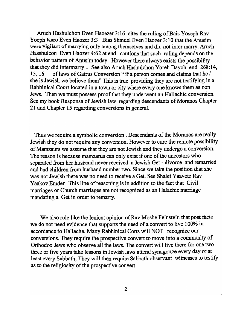Aruch Hashulchon Even Haoezer 3: 16 cites the ruling of Bais Y oseph Rav Yoeph Karo Even Haozer 3:3 Bias Shmuel Even Haozer 3:10 that the Anusim were vigilant of marrying only among themselves and did not inter marry. Aruch Hasshulcon Even Haozer 4:62 at end cautions that such ruling depends on the behavior pattern of Anusim today. However there always exists the possibility that they did intermarry .. See also Aruch Hashulchon Yoreh Dayoh end 268:14, 15, 16 of laws of Gairus Conversion " if a person comes and claims that he / she is Jewish we believe them" This is true providing they are not testifying in a Rabbinical Court located in a town or city where every one knows them as non Jews. Then we must possess proof that they underwent an Hallachic conversion. See my book Responsa of Jewish law regarding descendants of Moranos Chapter 21 and Chapter 15 regarding conversions in general.

Thus we require a symbolic conversion. Descendants of the Moranos are really Jewish they do not require any conversion. However to cure the remote possibility ofMamzaurs we assume that they are not Jewish and they undergo a conversion. The reason is because mamzarus can only exist if one of the ancestors who separated from her husband never received a Jewish Get - divorce and remarried and had children from husband number two. Since we take·the position that she was not Jewish there was no need to receive a Get. See Shalet Yaavetz Rav Yaakov Emden This line of reasoning is in addition to the fact that Civil marriages or Church marriages are not recognized as an Halachic marriage mandating a Get in order to remarry.

We also rule like the lenient opinion of Rav Moshe Feinstein that post facto we do not need evidence that supports the need of a convert to live 100% in accordance to Hallacha. Many Rabbinical Corts will NOT recognize our conversions. They require the prospective convert to move into a community of Orthodox Jews who observe all the laws. The convert will live there for one two three or five years take lessons in Jewish laws attend synagouge every day or at least every Sabbath, They will then require Sabbath observant witnesses to testify as to the religiosity of the prospective convert.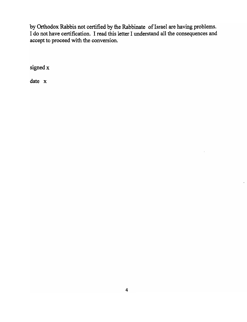by Orthodox Rabbis not certified by the Rabbinate of Israel are having problems. I do not have certification. I read this letter I understand all the consequences and accept to proceed with the conversion.

signed x

date x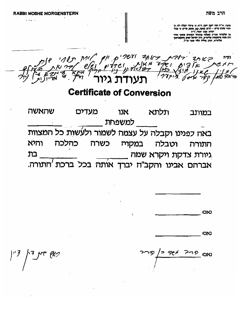P P 1928 3187 5 111 M/

### **Certificate of Conversion**

שהאשה במותב תלתא אנו מעדים למשפחת באה כפנינו וקבלה על עצמה לשמור ולעשות כל המצוות וטבלה במקוה כשרח כהלכה והיא התורה גיורת צדקת ויקרא שמה<br>אברהם אבינו והקב"ח יברך אותה בכל ברכת התורה. בת

|  | :೦ಬ |
|--|-----|
|  |     |

**DNJ** 

צאץ <sup>ה</sup>י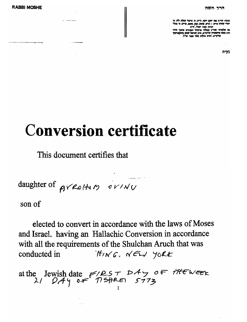**RABBI MOSHE** 

הרב משה

בעיה

# **Conversion certificate**

This document certifies that

daughter of prester portal

 $\cos$  of

elected to convert in accordance with the laws of Moses and Israel. having an Hallachic Conversion in accordance with all the requirements of the Shulchan Aruch that was THING, NEW YORK conducted in

at the Jewish date  $F/PST$   $DAY$  of the week<br>21  $DAY$  of  $T/SPRE$   $5773$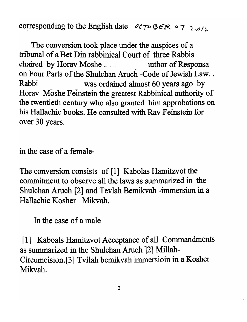corresponding to the English date  $O(T \circ B \in R \circ 7 \text{ }log/2$ 

The conversion took place under the auspices of a tribunal of a Bet Din rabbinical Court of three Rabbis chaired by Horav Moshe \_\_\_\_\_\_\_\_\_\_\_\_\_\_\_ uthor of Responsa on Four Parts of the Shulchan Aruch -Code of Jewish Law.. Rabbi was ordained almost 60 years ago by Horav Moshe Feinstein the greatest Rabbinical authority of the twentieth century who also granted him approbations on his Hallachic books. He consulted with Rav Feinstein for over 30 years.

in the case of a female-

The conversion consists of [1] Kabolas Hamitzvot the commitment to observe all the laws as summarized in the Shulchan Aruch [2] and Tevlah Bemikvah -immersion in a Hallachic Kosher Mikvah.

In the case of a male

[1] Kaboals Hamitzvot Acceptance of all Commandments as summarized in the Shulchan Aruch ]2] Millah-Circumcision.[3] Tvilah bemikvah immersioin in a Kosher Mikvah.

2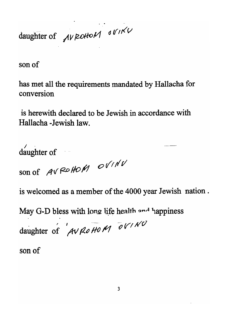daughter of *AVROHOM* OVIKU

son of

has met all the requirements mandated by Hallacha for conversion

is herewith declared to be Jewish in accordance with Hallacha - Jewish law.

daughter of son of AVROHOM OVINV

is welcomed as a member of the 4000 year Jewish nation.

May G-D bless with long life health and happiness

daughter of  $AVROHOM$  OVINU

son of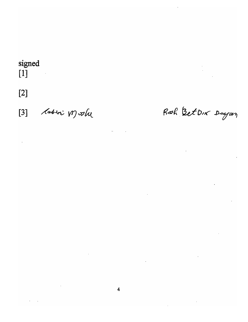#### signed  $[1]$  $\label{eq:2} \frac{1}{2} \int_{\mathbb{R}^3} \frac{1}{\sqrt{2}} \, \mathrm{d} \mu \, \mathrm{d} \mu \, \mathrm{d} \mu \, \mathrm{d} \mu \, \mathrm{d} \mu \, \mathrm{d} \mu \, \mathrm{d} \mu \, \mathrm{d} \mu \, \mathrm{d} \mu \, \mathrm{d} \mu \, \mathrm{d} \mu \, \mathrm{d} \mu \, \mathrm{d} \mu \, \mathrm{d} \mu \, \mathrm{d} \mu \, \mathrm{d} \mu \, \mathrm{d} \mu \, \mathrm{d} \mu \, \mathrm{d} \mu \, \mathrm{d} \mu \, \mathrm$

 $[2]$ 

 $\hat{\mathbf{r}}$ 

labiri Mostre  $[3]$ 

Roch BetDix Dagan

 $\mathcal{L}^{\text{max}}_{\text{max}}$  and  $\mathcal{L}^{\text{max}}_{\text{max}}$ 

 $\mathcal{L}^{\text{max}}$ 

 $\hat{\mathcal{A}}$ 

 $\sim$   $\sim$ 

 $\mathcal{L}^{\mathcal{L}}(\mathcal{L}^{\mathcal{L}})$  , and  $\mathcal{L}^{\mathcal{L}}(\mathcal{L}^{\mathcal{L}})$ 

 $\sim 10^{-1}$ 

 $\mathcal{L}^{\text{max}}_{\text{max}}$  , where  $\mathcal{L}^{\text{max}}_{\text{max}}$ 

 $\mathcal{L}^{\text{max}}_{\text{max}}$  and  $\mathcal{L}^{\text{max}}_{\text{max}}$ 

 $\label{eq:2.1} \frac{1}{\sqrt{2}}\int_{0}^{\infty}\frac{1}{\sqrt{2}}\left(\frac{1}{\sqrt{2}}\right)^{2}d\mu\int_{0}^{\infty}\frac{1}{\sqrt{2}}\left(\frac{1}{\sqrt{2}}\right)^{2}d\mu\int_{0}^{\infty}\frac{1}{\sqrt{2}}\left(\frac{1}{\sqrt{2}}\right)^{2}d\mu\int_{0}^{\infty}\frac{1}{\sqrt{2}}\left(\frac{1}{\sqrt{2}}\right)^{2}d\mu\int_{0}^{\infty}\frac{1}{\sqrt{2}}\left(\frac{1}{\sqrt{2}}\right)^{2}d\mu\$ 

 $\sim 10^{11}$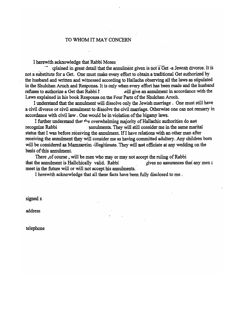#### TO WHOM IT MAY CONCERN

I herewith acknowledge that Rabbi Moses' .

rolained in great detail that the annulment given is not a Get -a Jewish divorce. It is not a substitute for a Get. One must make every effort to obtain a traditional Get authorized by the husband and written and witnessed according to Hallacha observing all the laws as stipulated in the Shulchan Aruch and Responsa. It is only when every effort has been made and the husband refuses to authorize a Get that Rabbi  $\Gamma$  . Will give an annulment in accordance with the Laws explained in his book Responsa on the Four Parts of the Shulchan Aroch.

I understand that the annulment will dissolve only the Jewish marriage. One must still have a civil divorce or civil annulment to dissolve the civil marriage. Otherwise one can not remarry in accordance with civil law . One would be in violation of the bigamy laws.

I further understand that the overwhelming majority of Ha1lachic authorities do not recognize Rabbi **annuments**. They will still consider me in the same marital status that I was before receiving the annulment. If I have relations with an other man after receiving the annulment they will consider me as having committed adultery. Any children born will be considered as Mamzareim -illegitimate. They will not officiate at any wedding on the basis of this annulment.

There , of course, will be men who may or may not accept the ruling of Rabbi that the annulment is Hallchically valid. Rabbi  $\mu$  ives no assurances that any men 1 meet in the future will or will not accept his annulments.

I herewith acknowledge that all these facts have been fully disclosed to me .

signed x

address

telephone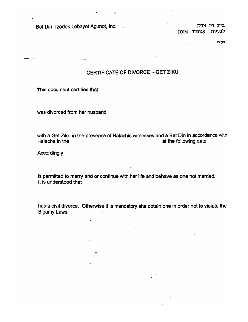Bet Din Tzedek Lebayot Agunot. Inc. j.if~ )" l1':l בית דיו צד*ם* לבעיות עגונות אינק

 $\Gamma$ 

בע'ה

This document certifies that

was divorced from her husband

was divorced from her husband

with a Get Ziku in the presence of Halachic witnesses and a Bet Din in accordance with Halacha in the at the following date

is permitted to marry and or continue with her life and behave as one not married.<br>It is understood that

: a civil divorce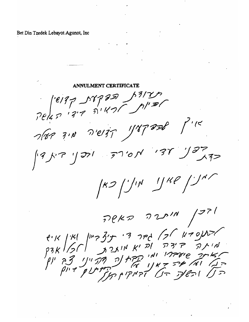Bet Din Tzedek Lebayot Agunot, Inc

**ANNULMENT CERTIFICATE** Pels 7 1317 22 13/25  $7/873.00797$   $1/87808$  $\int d^{3}y^{1/2}y^{1/2}dy = 5\int d^{6}y^{1/2}dy$  $(K2)^{1/N}$   $1/K2$  / $1/N$ PEKD DINN /271 אדמקס דו אך לחר רי תוצריין ואין ואין<br>האתר האדה והיא אוגרת הקולקוף<br>האתר האדה ואין הקולקה תקוון צה יון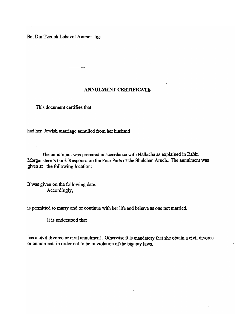Bet Din Tzedek Lebavot Agninot Inc

#### ANNULMENT CERTIFICATE

This document certifies that

had her Jewish marriage annulled from her husband

The annulment was prepared in accordance with Hallacha as explained in Rabbi Morgenstern's book Responsa on the Four Parts of the Shulchan Aruch .. The annulment was given at the following location:

It was given on the following date. Accordingly,

is permitted to marry and or continue with her life and behave as one not married.

It is understood that

has a civil divorce or civil annulment. Otherwise it is mandatory that she obtain a civil divorce or annulment in order not to be in violation of the bigamy laws.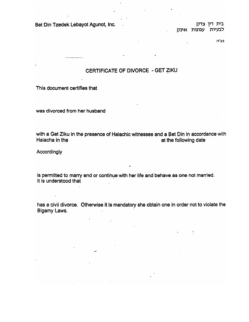Bet Din Tzedek Lebayot Agunot, Inc.

בית דין צדק<br>לבעיות עגונות אינק

בע'ה

#### CERTIFICATE OF DIVORCE - GET ZIKU

This document certifies that

was divorced from her husband

with a Get Ziku in the presence of Halachic witnesses and a Bet Din in accordance with in accordance with in a In a Get Ziku in the presence of Halachic withesses and a Bet Din in accordance

**Accordingly** 

is permitted to marry and or continue with her life and behave as one not married. permitted to marry and or continue w

has a civil divorce. Otherwise it is mandatory she obtain one in order not to violate the s a civil divorc